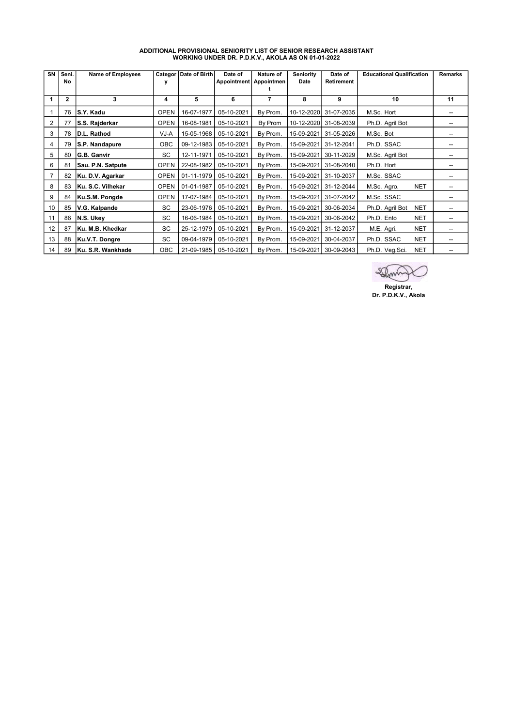| SN | Seni.<br>No  | Name of Employees  | У           | Categor   Date of Birth | Date of<br>Appointment   Appointmen | Nature of | <b>Seniority</b><br>Date | Date of<br><b>Retirement</b> | <b>Educational Qualification</b> | <b>Remarks</b> |
|----|--------------|--------------------|-------------|-------------------------|-------------------------------------|-----------|--------------------------|------------------------------|----------------------------------|----------------|
| 1  | $\mathbf{2}$ | 3                  | 4           | 5                       | 6                                   | 7         | 8                        | 9                            | 10                               | 11             |
|    | 76           | S.Y. Kadu          | <b>OPEN</b> | 16-07-1977              | 05-10-2021                          | By Prom.  |                          | 10-12-2020 31-07-2035        | M.Sc. Hort                       |                |
| 2  | 77           | S.S. Rajderkar     | <b>OPEN</b> | 16-08-1981              | 05-10-2021                          | By Prom   |                          | 10-12-2020 31-08-2039        | Ph.D. Agril Bot                  |                |
| 3  | 78           | D.L. Rathod        | VJ-A        | 15-05-1968              | 05-10-2021                          | By Prom.  | 15-09-2021               | 31-05-2026                   | M.Sc. Bot                        | --             |
| 4  | 79           | S.P. Nandapure     | <b>OBC</b>  | 09-12-1983              | 05-10-2021                          | By Prom.  | 15-09-2021               | 31-12-2041                   | Ph.D. SSAC                       | --             |
| 5  | 80           | <b>G.B. Ganvir</b> | <b>SC</b>   | 12-11-1971              | 05-10-2021                          | By Prom.  | 15-09-2021               | 30-11-2029                   | M.Sc. Agril Bot                  |                |
| 6  | 81           | Sau. P.N. Satpute  | <b>OPEN</b> | 22-08-1982              | 05-10-2021                          | By Prom.  | 15-09-2021               | 31-08-2040                   | Ph.D. Hort                       |                |
| 7  | 82           | Ku. D.V. Agarkar   | <b>OPEN</b> | 01-11-1979              | 05-10-2021                          | By Prom.  | 15-09-2021               | 31-10-2037                   | M.Sc. SSAC                       |                |
| 8  | 83           | Ku. S.C. Vilhekar  | <b>OPEN</b> | 01-01-1987              | 05-10-2021                          | By Prom.  | 15-09-2021               | 31-12-2044                   | <b>NET</b><br>M.Sc. Agro.        |                |
| 9  | 84           | Ku.S.M. Pongde     | <b>OPEN</b> | 17-07-1984              | 05-10-2021                          | By Prom.  | 15-09-2021               | 31-07-2042                   | M.Sc. SSAC                       | --             |
| 10 | 85           | V.G. Kalpande      | SC          | 23-06-1976              | 05-10-2021                          | By Prom.  | 15-09-2021               | 30-06-2034                   | <b>NET</b><br>Ph.D. Agril Bot    |                |
| 11 | 86           | N.S. Ukey          | SC          | 16-06-1984              | 05-10-2021                          | By Prom.  | 15-09-2021               | 30-06-2042                   | Ph.D. Ento<br><b>NET</b>         |                |
| 12 | 87           | Ku. M.B. Khedkar   | SC          | 25-12-1979              | 05-10-2021                          | By Prom.  | 15-09-2021               | 31-12-2037                   | <b>NET</b><br>M.E. Agri.         |                |
| 13 | 88           | Ku.V.T. Dongre     | <b>SC</b>   | 09-04-1979              | 05-10-2021                          | By Prom.  | 15-09-2021               | 30-04-2037                   | <b>NET</b><br>Ph.D. SSAC         |                |
| 14 | 89           | Ku. S.R. Wankhade  | <b>OBC</b>  | 21-09-1985              | 05-10-2021                          | By Prom.  | 15-09-2021               | 30-09-2043                   | <b>NET</b><br>Ph.D. Veg.Sci.     |                |

## ADDITIONAL PROVISIONAL SENIORITY LIST OF SENIOR RESEARCH ASSISTANT WORKING UNDER DR. P.D.K.V., AKOLA AS ON 01-01-2022

ZQ Registrar,

Dr. P.D.K.V., Akola